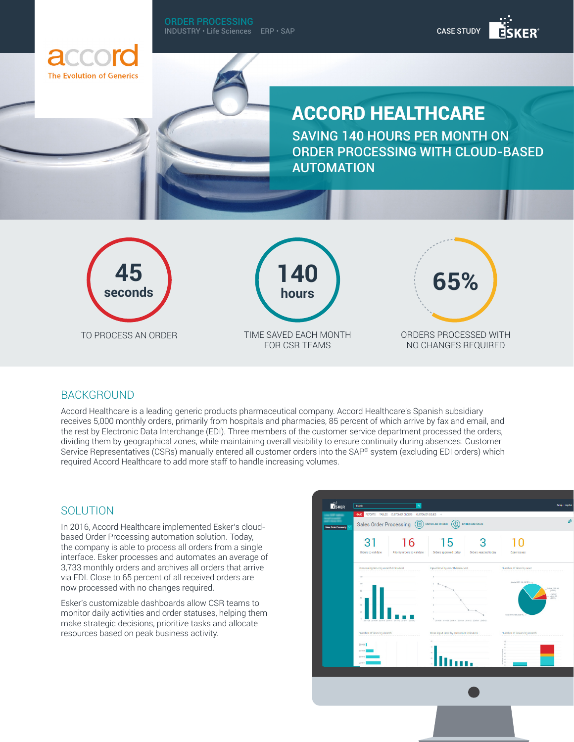ORDER PROCESSING INDUSTRY • Life Sciences ERP • SAP



# ACCORD HEALTHCARE

SAVING 140 HOURS PER MONTH ON ORDER PROCESSING WITH CLOUD-BASED AUTOMATION





ORDERS PROCESSED WITH NO CHANGES REQUIRED **65%**

CASE STUDY

#### BACKGROUND

Accord Healthcare is a leading generic products pharmaceutical company. Accord Healthcare's Spanish subsidiary receives 5,000 monthly orders, primarily from hospitals and pharmacies, 85 percent of which arrive by fax and email, and the rest by Electronic Data Interchange (EDI). Three members of the customer service department processed the orders, dividing them by geographical zones, while maintaining overall visibility to ensure continuity during absences. Customer Service Representatives (CSRs) manually entered all customer orders into the SAP® system (excluding EDI orders) which required Accord Healthcare to add more staff to handle increasing volumes.

### **SOLUTION**

In 2016, Accord Healthcare implemented Esker's cloudbased Order Processing automation solution. Today, the company is able to process all orders from a single interface. Esker processes and automates an average of 3,733 monthly orders and archives all orders that arrive via EDI. Close to 65 percent of all received orders are now processed with no changes required.

Esker's customizable dashboards allow CSR teams to monitor daily activities and order statuses, helping them make strategic decisions, prioritize tasks and allocate resources based on peak business activity.